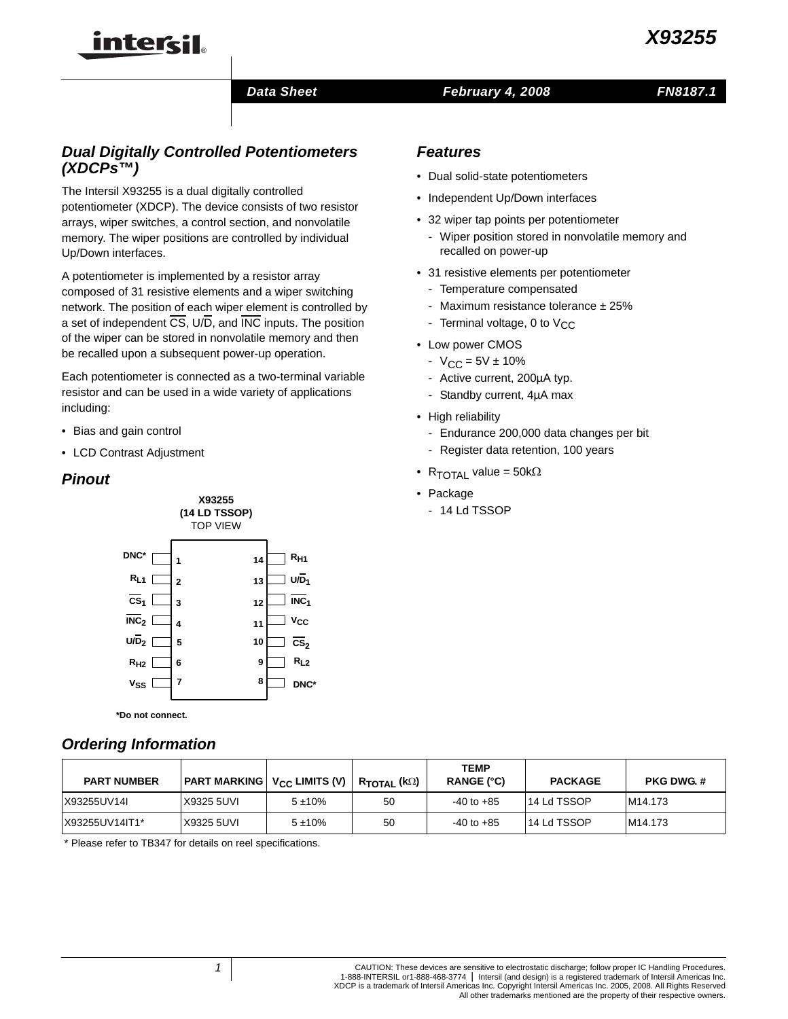## *Data Sheet February 4, 2008*

## *FN8187.1*

# *Dual Digitally Controlled Potentiometers (XDCPs™)*

intersil

The Intersil X93255 is a dual digitally controlled potentiometer (XDCP). The device consists of two resistor arrays, wiper switches, a control section, and nonvolatile memory. The wiper positions are controlled by individual Up/Down interfaces.

A potentiometer is implemented by a resistor array composed of 31 resistive elements and a wiper switching network. The position of each wiper element is controlled by a set of independent CS, U/D, and INC inputs. The position of the wiper can be stored in nonvolatile memory and then be recalled upon a subsequent power-up operation.

Each potentiometer is connected as a two-terminal variable resistor and can be used in a wide variety of applications including:

- Bias and gain control
- LCD Contrast Adjustment

## *Pinout*



**\*Do not connect.**

## *Ordering Information*

| <b>PART NUMBER</b> | <b>PART MARKING Vcc LIMITS (V)</b> |           | $R_{\texttt{TOTAL}}$ (k $\Omega$ ) | <b>TEMP</b><br>RANGE (°C) | <b>PACKAGE</b> | <b>PKG DWG.#</b> |
|--------------------|------------------------------------|-----------|------------------------------------|---------------------------|----------------|------------------|
| X93255UV14I        | X9325 5UVI                         | $5 + 10%$ | 50                                 | $-40$ to $+85$            | 14 Ld TSSOP    | M14.173          |
| X93255UV14IT1*     | X9325 5UVI                         | $5 + 10%$ | 50                                 | $-40$ to $+85$            | 14 Ld TSSOP    | M14.173          |

[\\* Please refer to TB347 for details on reel specifications.](http://www.intersil.com/data/tb/tb347.pdf)

## *Features*

- Dual solid-state potentiometers
- Independent Up/Down interfaces
- 32 wiper tap points per potentiometer
	- Wiper position stored in nonvolatile memory and recalled on power-up
- 31 resistive elements per potentiometer
	- Temperature compensated
	- Maximum resistance tolerance  $± 25%$
	- Terminal voltage, 0 to  $V_{CC}$
- Low power CMOS
	- $-V_{CC} = 5V \pm 10\%$
	- Active current, 200µA typ.
	- Standby current, 4µA max
- High reliability
	- Endurance 200,000 data changes per bit
	- Register data retention, 100 years
- $R_{\text{TOTAI}}$  value = 50k $\Omega$
- Package
	- 14 Ld TSSOP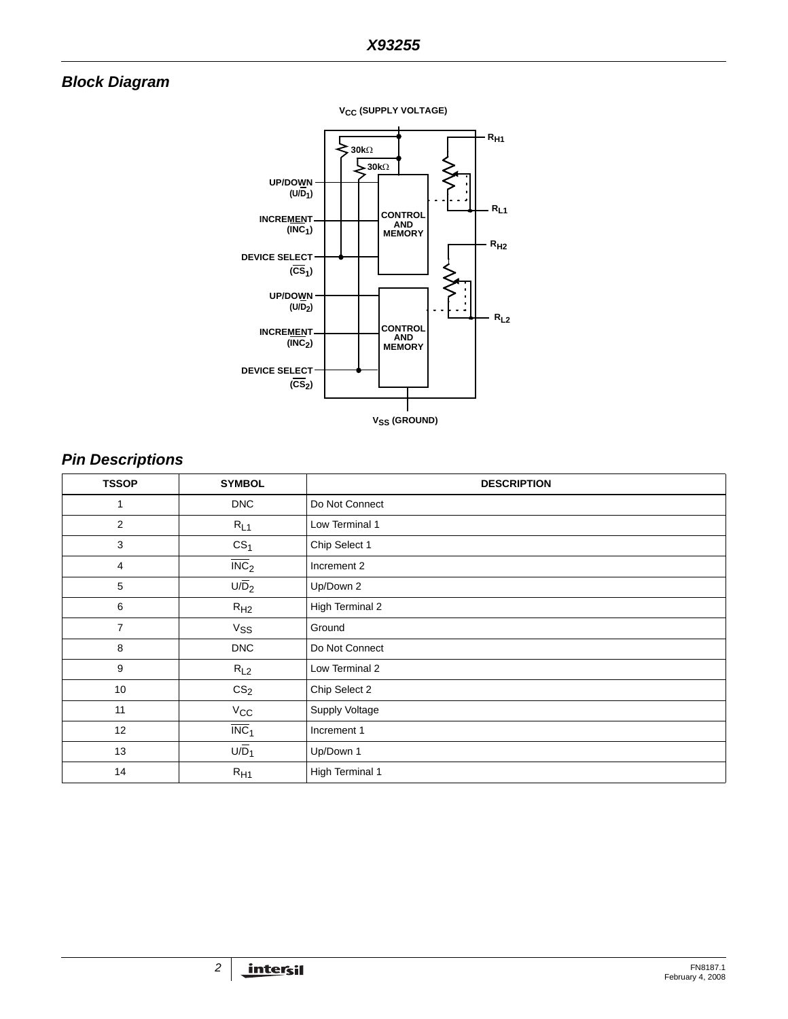# *Block Diagram*



# *Pin Descriptions*

| <b>TSSOP</b>   | <b>SYMBOL</b>             | <b>DESCRIPTION</b> |
|----------------|---------------------------|--------------------|
| 1              | <b>DNC</b>                | Do Not Connect     |
| 2              | $R_{L1}$                  | Low Terminal 1     |
| 3              | CS <sub>1</sub>           | Chip Select 1      |
| 4              | $\overline{\text{INC}}_2$ | Increment 2        |
| 5              | $U/\overline{D}_2$        | Up/Down 2          |
| 6              | R <sub>H2</sub>           | High Terminal 2    |
| $\overline{7}$ | $V_{SS}$                  | Ground             |
| 8              | <b>DNC</b>                | Do Not Connect     |
| 9              | $R_{L2}$                  | Low Terminal 2     |
| 10             | CS <sub>2</sub>           | Chip Select 2      |
| 11             | $V_{\rm CC}$              | Supply Voltage     |
| 12             | $\overline{\text{INC}}_1$ | Increment 1        |
| 13             | $U/D_1$                   | Up/Down 1          |
| 14             | $R_{H1}$                  | High Terminal 1    |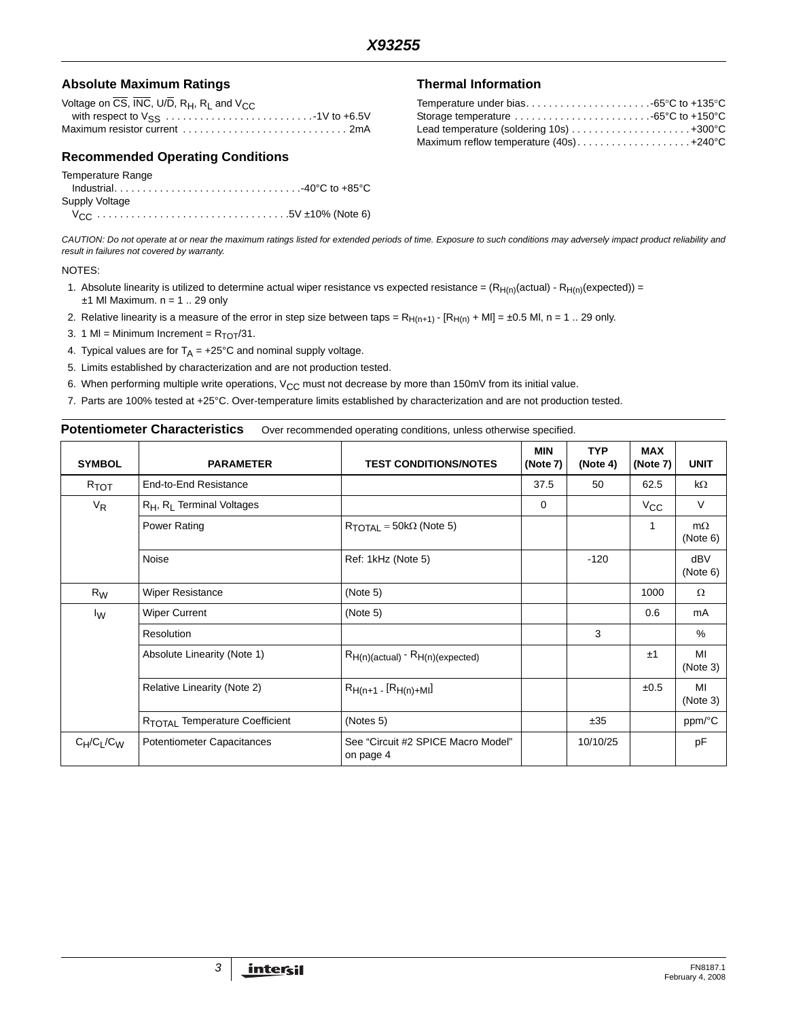## Absolute Maximum Ratings **Thermal Information**

| Voltage on CS, INC, U/D, $R_H$ , $R_I$ and $V_{CC}$ |
|-----------------------------------------------------|
|                                                     |
|                                                     |

## **Recommended Operating Conditions**

#### Temperature Range

| Supply Voltage |  |
|----------------|--|
|                |  |

| Maximum reflow temperature $(40s)$ +240°C |  |
|-------------------------------------------|--|

*CAUTION: Do not operate at or near the maximum ratings listed for extended periods of time. Exposure to such conditions may adversely impact product reliability and result in failures not covered by warranty.*

#### NOTES:

- <span id="page-2-3"></span>1. Absolute linearity is utilized to determine actual wiper resistance vs expected resistance =  $(R_{H(n)}(actual) - R_{H(n)}(expected)) =$  $±1$  MI Maximum. n = 1 .. 29 only
- <span id="page-2-5"></span>2. Relative linearity is a measure of the error in step size between taps =  $R_{H(n+1)}$  -  $[R_{H(n)} + MI] = \pm 0.5$  Ml, n = 1. 29 only.
- <span id="page-2-4"></span>3. 1 MI = Minimum Increment =  $R_{TOT}/31$ .
- <span id="page-2-6"></span>4. Typical values are for  $T_A = +25^{\circ}C$  and nominal supply voltage.
- <span id="page-2-1"></span>5. Limits established by characterization and are not production tested.
- <span id="page-2-2"></span>6. When performing multiple write operations,  $V_{CC}$  must not decrease by more than 150mV from its initial value.
- <span id="page-2-0"></span>7. Parts are 100% tested at +25°C. Over-temperature limits established by characterization and are not production tested.

#### **Potentiometer Characteristics** Over recommended operating conditions, unless otherwise specified.

| <b>SYMBOL</b>    | <b>PARAMETER</b>                           | <b>TEST CONDITIONS/NOTES</b>                    | <b>MIN</b><br>(Note 7) | <b>TYP</b><br>(Note 4) | <b>MAX</b><br>(Note 7) | <b>UNIT</b>           |
|------------------|--------------------------------------------|-------------------------------------------------|------------------------|------------------------|------------------------|-----------------------|
| $R_{\text{TOT}}$ | End-to-End Resistance                      |                                                 | 37.5                   | 50                     | 62.5                   | $k\Omega$             |
| $V_R$            | $R_H$ , $R_I$ Terminal Voltages            |                                                 | 0                      |                        | $V_{\rm CC}$           | $\vee$                |
|                  | Power Rating                               | $R_{\text{TOTAL}} = 50 \text{k}\Omega$ (Note 5) |                        |                        | 1                      | $m\Omega$<br>(Note 6) |
|                  | Noise                                      | Ref: 1kHz (Note 5)                              |                        | $-120$                 |                        | dBV<br>(Note 6)       |
| $R_W$            | <b>Wiper Resistance</b>                    | (Note 5)                                        |                        |                        | 1000                   | $\Omega$              |
| $I_{\rm W}$      | <b>Wiper Current</b>                       | (Note 5)                                        |                        |                        | 0.6                    | mA                    |
|                  | Resolution                                 |                                                 |                        | 3                      |                        | $\%$                  |
|                  | Absolute Linearity (Note 1)                | $R_{H(n)(actual)}$ - $R_{H(n)(expected)}$       |                        |                        | ±1                     | MI<br>(Note 3)        |
|                  | Relative Linearity (Note 2)                | $R_{H(n+1 - [R_{H(n)+M1}]}$                     |                        |                        | ±0.5                   | MI<br>(Note 3)        |
|                  | R <sub>TOTAL</sub> Temperature Coefficient | (Notes 5)                                       |                        | ±35                    |                        | ppm/°C                |
| $C_H/C_L/C_W$    | Potentiometer Capacitances                 | See "Circuit #2 SPICE Macro Model"<br>on page 4 |                        | 10/10/25               |                        | pF                    |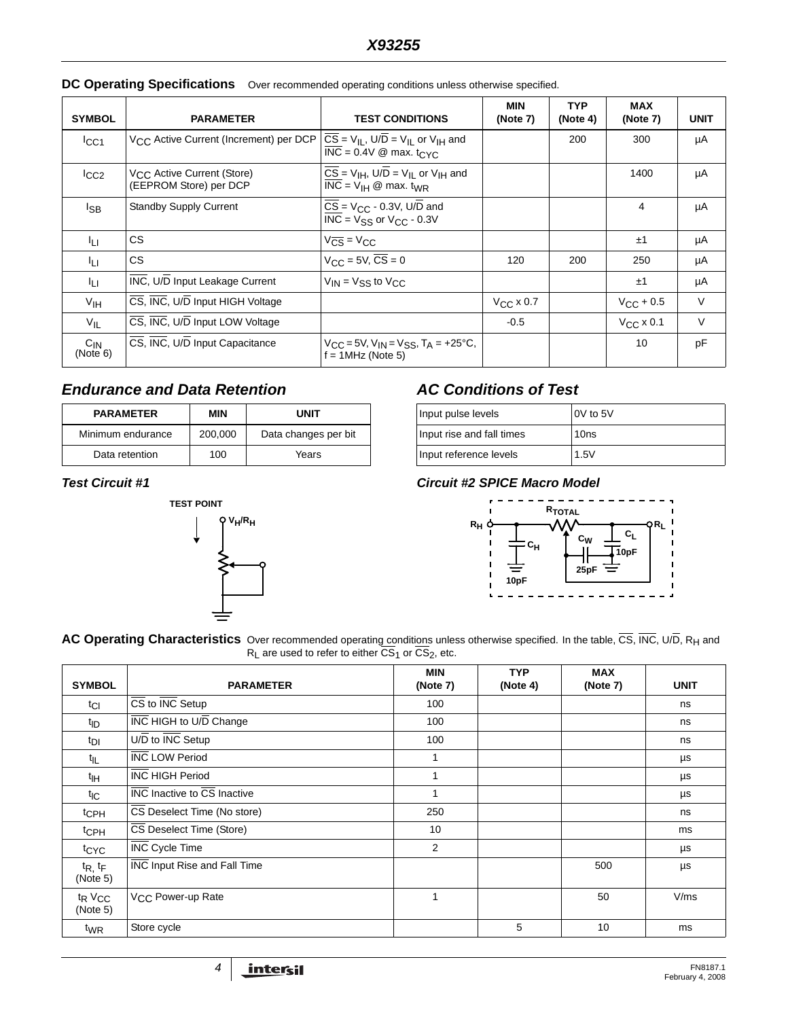| <b>SYMBOL</b>        | <b>PARAMETER</b>                                                 | <b>TEST CONDITIONS</b>                                                                                                   | <b>MIN</b><br>(Note 7) | <b>TYP</b><br>(Note 4) | <b>MAX</b><br>(Note 7) | <b>UNIT</b> |
|----------------------|------------------------------------------------------------------|--------------------------------------------------------------------------------------------------------------------------|------------------------|------------------------|------------------------|-------------|
| ICC1                 | V <sub>CC</sub> Active Current (Increment) per DCP               | $CS = V_{II}$ , U/D = V <sub>II</sub> or V <sub>IH</sub> and<br>$INC = 0.4V \& max. t_{CYC}$                             |                        | 200                    | 300                    | μA          |
| ICC2                 | V <sub>CC</sub> Active Current (Store)<br>(EEPROM Store) per DCP | $\overline{CS} = V_{\text{IH}}$ , U/D = V <sub>II</sub> or V <sub>IH</sub> and<br>$INC = VIH \& max. tWR$                |                        |                        | 1400                   | μA          |
| l <sub>SB</sub>      | <b>Standby Supply Current</b>                                    | $\overline{CS}$ = V <sub>CC</sub> - 0.3V, U/D and<br>$\overline{\text{INC}}$ = V <sub>SS</sub> or V <sub>CC</sub> - 0.3V |                        |                        | 4                      | μA          |
| lı ı                 | <b>CS</b>                                                        | $V_{CS} = V_{CC}$                                                                                                        |                        |                        | ±1                     | μA          |
| ĪЦ                   | <b>CS</b>                                                        | $V_{\text{CC}} = 5V$ , $CS = 0$                                                                                          | 120                    | 200                    | 250                    | μA          |
| 41 L                 | INC, U/D Input Leakage Current                                   | $V_{IN}$ = $V_{SS}$ to $V_{CC}$                                                                                          |                        |                        | ±1                     | μA          |
| V <sub>IH</sub>      | CS, INC, U/D Input HIGH Voltage                                  |                                                                                                                          | $V_{CC}$ x 0.7         |                        | $V_{\rm CC}$ + 0.5     | $\vee$      |
| $V_{\parallel}$      | CS, INC, U/D Input LOW Voltage                                   |                                                                                                                          | $-0.5$                 |                        | $V_{\rm CC}$ x 0.1     | $\vee$      |
| $C_{IN}$<br>(Note 6) | CS, INC, U/D Input Capacitance                                   | $V_{CC}$ = 5V, V <sub>IN</sub> = V <sub>SS</sub> , T <sub>A</sub> = +25°C,<br>$f = 1$ MHz (Note 5)                       |                        |                        | 10                     | pF          |

### **DC Operating Specifications** Over recommended operating conditions unless otherwise specified.

## *Endurance and Data Retention*

| <b>PARAMETER</b>  | MIN     | <b>UNIT</b>          |
|-------------------|---------|----------------------|
| Minimum endurance | 200,000 | Data changes per bit |
| Data retention    | 100     | Years                |



## *AC Conditions of Test*

| Input pulse levels        | IOV to 5V        |  |
|---------------------------|------------------|--|
| Input rise and fall times | 10 <sub>ns</sub> |  |
| Input reference levels    | 1.5V             |  |

### *Test Circuit #1 Circuit #2 SPICE Macro Model*

<span id="page-3-0"></span>

**AC Operating Characteristics** Over recommended operatin<u>g co</u>nditions unless otherwise specified. In the table, CS, INC, U/D, R<sub>H</sub> and  $R_{L}$  are used to refer to either  $CS_{1}$  or  $CS_{2}$ , etc.

| <b>SYMBOL</b>                              | <b>PARAMETER</b>                                        | MIN<br>(Note 7) | <b>TYP</b><br>(Note 4) | <b>MAX</b><br>(Note 7) | <b>UNIT</b> |
|--------------------------------------------|---------------------------------------------------------|-----------------|------------------------|------------------------|-------------|
| $t_{Cl}$                                   | $\overline{\text{CS}}$ to $\overline{\text{INC}}$ Setup | 100             |                        |                        | ns          |
| <sup>t</sup> ID                            | <b>INC HIGH to U/D Change</b>                           | 100             |                        |                        | ns          |
| t <sub>DI</sub>                            | $U/D$ to $\overline{INC}$ Setup                         | 100             |                        |                        | ns          |
| $t_{\parallel}$                            | <b>INC LOW Period</b>                                   | 1               |                        |                        | μs          |
| $t_{\text{IH}}$                            | <b>INC HIGH Period</b>                                  | 1               |                        |                        | μs          |
| $t_{\text{IC}}$                            | INC Inactive to CS Inactive                             | 1               |                        |                        | μs          |
| t <sub>CPH</sub>                           | CS Deselect Time (No store)                             | 250             |                        |                        | ns          |
| <sup>t</sup> CPH                           | CS Deselect Time (Store)                                | 10              |                        |                        | ms          |
| <sup>t</sup> CYC                           | <b>INC Cycle Time</b>                                   | $\overline{2}$  |                        |                        | μs          |
| $t_{R, t_{F}}$<br>(Note 5)                 | INC Input Rise and Fall Time                            |                 |                        | 500                    | μs          |
| t <sub>R</sub> V <sub>CC</sub><br>(Note 5) | V <sub>CC</sub> Power-up Rate                           | 1               |                        | 50                     | V/ms        |
| t <sub>WR</sub>                            | Store cycle                                             |                 | 5                      | 10                     | ms          |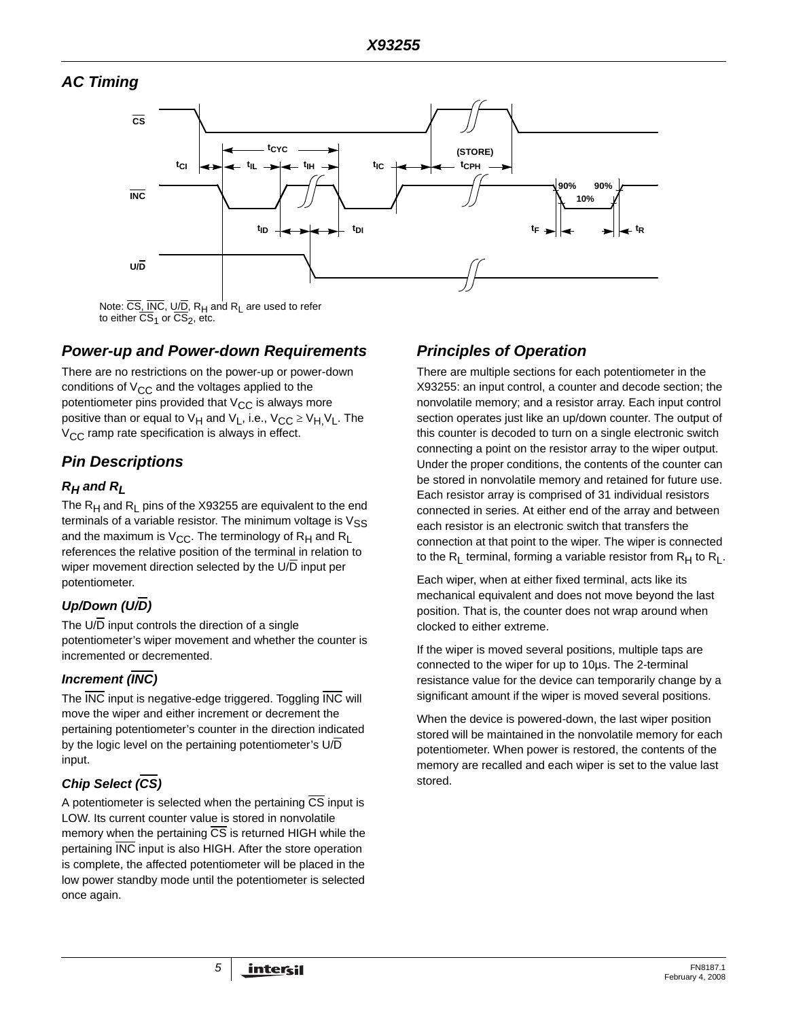## *AC Timing*



to either  $\overline{\text{CS}}_1$  or  $\overline{\text{CS}}_2$ , etc.

## *Power-up and Power-down Requirements*

There are no restrictions on the power-up or power-down conditions of  $V_{CC}$  and the voltages applied to the potentiometer pins provided that  $V_{CC}$  is always more positive than or equal to  $V_H$  and  $V_L$ , i.e.,  $V_{CC} \geq V_H$ ,  $V_L$ . The  $V_{\text{CC}}$  ramp rate specification is always in effect.

# *Pin Descriptions*

## *RH and RL*

The  $R_H$  and  $R_I$  pins of the X93255 are equivalent to the end terminals of a variable resistor. The minimum voltage is  $V_{SS}$ and the maximum is  $V_{CC}$ . The terminology of  $R_H$  and  $R_L$ references the relative position of the terminal in relation to wiper movement direction selected by the U/D input per potentiometer.

# *Up/Down (U/D)*

The  $U/D$  input controls the direction of a single potentiometer's wiper movement and whether the counter is incremented or decremented.

## *Increment (INC)*

The INC input is negative-edge triggered. Toggling INC will move the wiper and either increment or decrement the pertaining potentiometer's counter in the direction indicated by the logic level on the pertaining potentiometer's U/D input.

# *Chip Select (CS)*

A potentiometer is selected when the pertaining  $\overline{CS}$  input is LOW. Its current counter value is stored in nonvolatile memory when the pertaining CS is returned HIGH while the pertaining INC input is also HIGH. After the store operation is complete, the affected potentiometer will be placed in the low power standby mode until the potentiometer is selected once again.

# *Principles of Operation*

There are multiple sections for each potentiometer in the X93255: an input control, a counter and decode section; the nonvolatile memory; and a resistor array. Each input control section operates just like an up/down counter. The output of this counter is decoded to turn on a single electronic switch connecting a point on the resistor array to the wiper output. Under the proper conditions, the contents of the counter can be stored in nonvolatile memory and retained for future use. Each resistor array is comprised of 31 individual resistors connected in series. At either end of the array and between each resistor is an electronic switch that transfers the connection at that point to the wiper. The wiper is connected to the R<sub>L</sub> terminal, forming a variable resistor from  $R_H$  to  $R_L$ .

Each wiper, when at either fixed terminal, acts like its mechanical equivalent and does not move beyond the last position. That is, the counter does not wrap around when clocked to either extreme.

If the wiper is moved several positions, multiple taps are connected to the wiper for up to 10µs. The 2-terminal resistance value for the device can temporarily change by a significant amount if the wiper is moved several positions.

When the device is powered-down, the last wiper position stored will be maintained in the nonvolatile memory for each potentiometer. When power is restored, the contents of the memory are recalled and each wiper is set to the value last stored.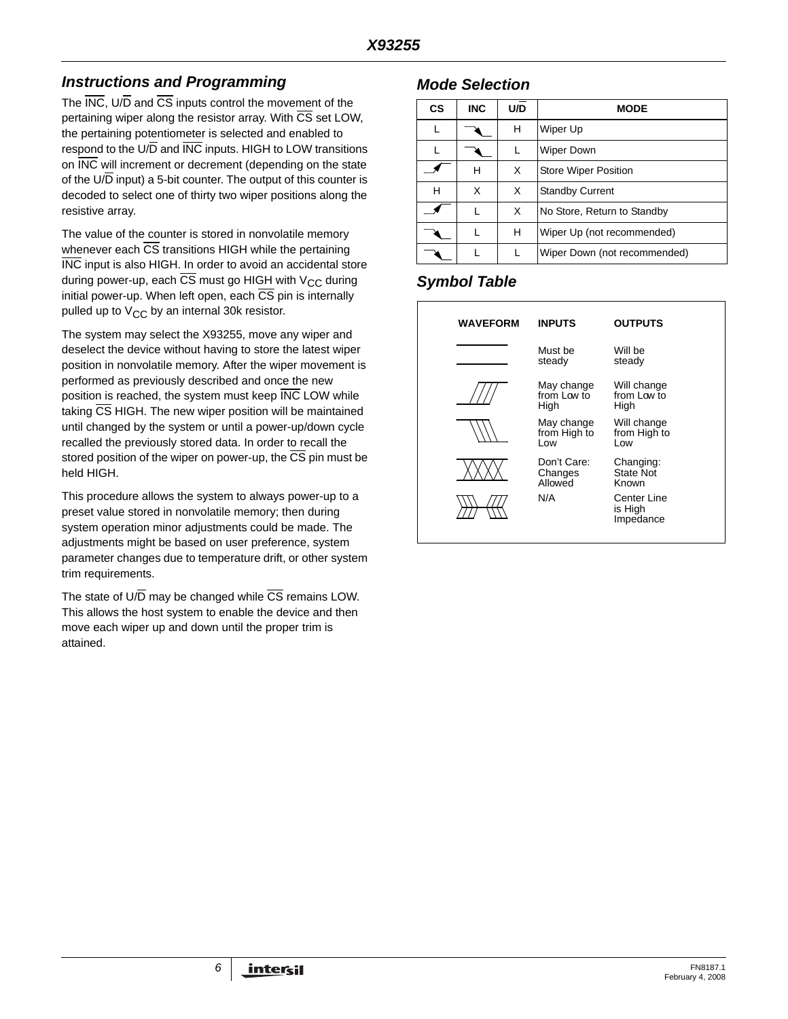# *Instructions and Programming*

The INC, U/D and CS inputs control the movement of the pertaining wiper along the resistor array. With CS set LOW, the pertaining potentiometer is selected and enabled to respond to the U/D and INC inputs. HIGH to LOW transitions on INC will increment or decrement (depending on the state of the U/D input) a 5-bit counter. The output of this counter is decoded to select one of thirty two wiper positions along the resistive array.

The value of the counter is stored in nonvolatile memory whenever each  $\overline{\text{CS}}$  transitions HIGH while the pertaining INC input is also HIGH. In order to avoid an accidental store during power-up, each CS must go HIGH with  $V_{CC}$  during initial power-up. When left open, each  $\overline{CS}$  pin is internally pulled up to  $V_{CC}$  by an internal 30k resistor.

The system may select the X93255, move any wiper and deselect the device without having to store the latest wiper position in nonvolatile memory. After the wiper movement is performed as previously described and once the new position is reached, the system must keep INC LOW while taking  $\overline{\text{CS}}$  HIGH. The new wiper position will be maintained until changed by the system or until a power-up/down cycle recalled the previously stored data. In order to recall the stored position of the wiper on power-up, the CS pin must be held HIGH.

This procedure allows the system to always power-up to a preset value stored in nonvolatile memory; then during system operation minor adjustments could be made. The adjustments might be based on user preference, system parameter changes due to temperature drift, or other system trim requirements.

The state of  $U/\overline{D}$  may be changed while  $\overline{CS}$  remains LOW. This allows the host system to enable the device and then move each wiper up and down until the proper trim is attained.

## *Mode Selection*

| <b>CS</b> | <b>INC</b> | U/D | <b>MODE</b>                  |
|-----------|------------|-----|------------------------------|
| L         |            | н   | Wiper Up                     |
|           |            |     | <b>Wiper Down</b>            |
|           | н          | X   | <b>Store Wiper Position</b>  |
| н         | X          | X   | <b>Standby Current</b>       |
|           | L          | X   | No Store, Return to Standby  |
|           |            | н   | Wiper Up (not recommended)   |
|           |            |     | Wiper Down (not recommended) |

# *Symbol Table*

| <b>WAVEFORM</b> | <b>INPUTS</b>                     | <b>OUTPUTS</b>                      |
|-----------------|-----------------------------------|-------------------------------------|
|                 | Must be<br>steady                 | Will be<br>steady                   |
|                 | May change<br>from Low to<br>High | Will change<br>from Low to<br>High  |
|                 | May change<br>from High to<br>Low | Will change<br>from High to<br>Low  |
|                 | Don't Care:<br>Changes<br>hawollA | Changing:<br>State Not<br>Known     |
|                 | N/A                               | Center Line<br>is High<br>Impedance |
|                 |                                   |                                     |